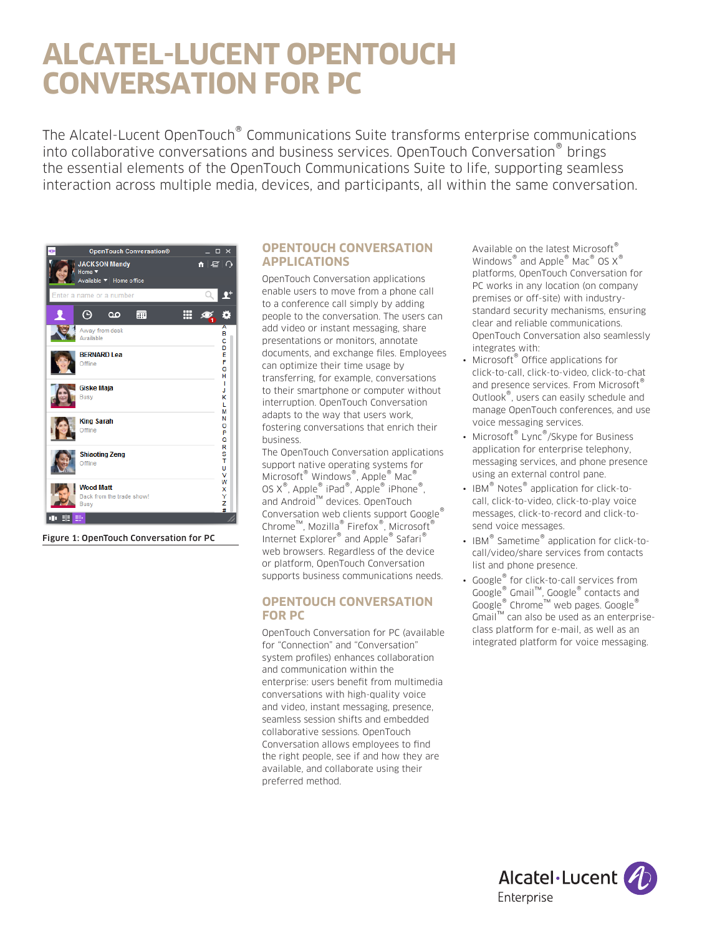# **ALCATEL-LUCENT OPENTOUCH CONVERSATION FOR PC**

The Alcatel-Lucent OpenTouch® Communications Suite transforms enterprise communications into collaborative conversations and business services. OpenTouch Conversation® brings the essential elements of the OpenTouch Communications Suite to life, supporting seamless interaction across multiple media, devices, and participants, all within the same conversation.



Figure 1: OpenTouch Conversation for PC

# **OPENTOUCH CONVERSATION APPLICATIONS**

OpenTouch Conversation applications enable users to move from a phone call to a conference call simply by adding people to the conversation. The users can add video or instant messaging, share presentations or monitors, annotate documents, and exchange files. Employees can optimize their time usage by transferring, for example, conversations to their smartphone or computer without interruption. OpenTouch Conversation adapts to the way that users work, fostering conversations that enrich their business.

The OpenTouch Conversation applications support native operating systems for Microsoft® Windows®, Apple® Mac® OS X®, Apple® iPad®, Apple® iPhone®, and Android™ devices. OpenTouch Conversation web clients support Google<sup>®</sup> Chrome™, Mozilla® Firefox®, Microsoft<sup>®</sup> Internet Explorer® and Apple® Safari® web browsers. Regardless of the device or platform, OpenTouch Conversation supports business communications needs.

### **OPENTOUCH CONVERSATION FOR PC**

OpenTouch Conversation for PC (available for "Connection" and "Conversation" system profiles) enhances collaboration and communication within the enterprise: users benefit from multimedia conversations with high-quality voice and video, instant messaging, presence, seamless session shifts and embedded collaborative sessions. OpenTouch Conversation allows employees to find the right people, see if and how they are available, and collaborate using their preferred method.

Available on the latest Microsoft® Windows<sup>®</sup> and Apple<sup>®</sup> Mac<sup>®</sup> OS X<sup>®</sup> platforms, OpenTouch Conversation for PC works in any location (on company premises or off-site) with industrystandard security mechanisms, ensuring clear and reliable communications. OpenTouch Conversation also seamlessly integrates with:

- Microsoft<sup>®</sup> Office applications for click-to-call, click-to-video, click-to-chat and presence services. From Microsoft® Outlook®, users can easily schedule and manage OpenTouch conferences, and use voice messaging services.
- Microsoft® Lync®/Skype for Business application for enterprise telephony, messaging services, and phone presence using an external control pane.
- IBM<sup>®</sup> Notes<sup>®</sup> application for click-tocall, click-to-video, click-to-play voice messages, click-to-record and click-tosend voice messages.
- IBM<sup>®</sup> Sametime<sup>®</sup> application for click-tocall/video/share services from contacts list and phone presence.
- Google<sup>®</sup> for click-to-call services from Google® Gmail™, Google® contacts and Google® Chrome™ web pages. Google® Gmail™ can also be used as an enterpriseclass platform for e-mail, as well as an integrated platform for voice messaging.

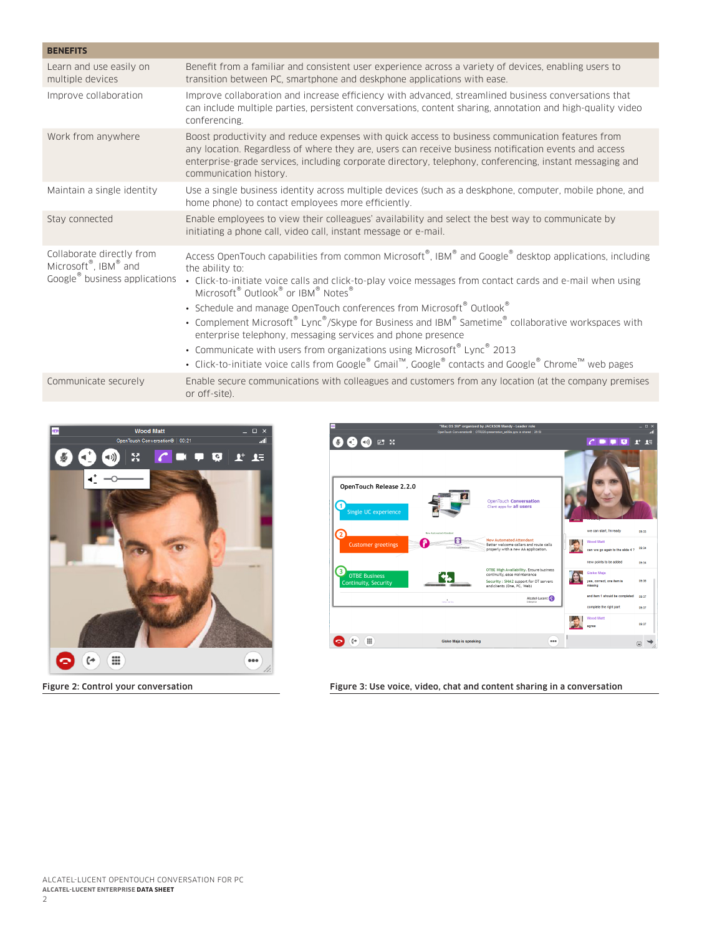| <b>BENEFITS</b>                                                                                |                                                                                                                                                                                                                                                                                                                                                                                                                                                                                                           |
|------------------------------------------------------------------------------------------------|-----------------------------------------------------------------------------------------------------------------------------------------------------------------------------------------------------------------------------------------------------------------------------------------------------------------------------------------------------------------------------------------------------------------------------------------------------------------------------------------------------------|
| Learn and use easily on<br>multiple devices                                                    | Benefit from a familiar and consistent user experience across a variety of devices, enabling users to<br>transition between PC, smartphone and deskphone applications with ease.                                                                                                                                                                                                                                                                                                                          |
| Improve collaboration                                                                          | Improve collaboration and increase efficiency with advanced, streamlined business conversations that<br>can include multiple parties, persistent conversations, content sharing, annotation and high-quality video<br>conferencing.                                                                                                                                                                                                                                                                       |
| Work from anywhere                                                                             | Boost productivity and reduce expenses with quick access to business communication features from<br>any location. Regardless of where they are, users can receive business notification events and access<br>enterprise-grade services, including corporate directory, telephony, conferencing, instant messaging and<br>communication history.                                                                                                                                                           |
| Maintain a single identity                                                                     | Use a single business identity across multiple devices (such as a deskphone, computer, mobile phone, and<br>home phone) to contact employees more efficiently.                                                                                                                                                                                                                                                                                                                                            |
| Stay connected                                                                                 | Enable employees to view their colleagues' availability and select the best way to communicate by<br>initiating a phone call, video call, instant message or e-mail.                                                                                                                                                                                                                                                                                                                                      |
| Collaborate directly from<br>Microsoft®, IBM® and<br>Google <sup>®</sup> business applications | Access OpenTouch capabilities from common Microsoft®, IBM® and Google® desktop applications, including<br>the ability to:<br>· Click-to-initiate voice calls and click-to-play voice messages from contact cards and e-mail when using<br>Microsoft <sup>®</sup> Outlook <sup>®</sup> or IBM <sup>®</sup> Notes <sup>®</sup><br>• Schedule and manage OpenTouch conferences from Microsoft® Outlook®<br>• Complement Microsoft® Lync®/Skype for Business and IBM® Sametime® collaborative workspaces with |
|                                                                                                | enterprise telephony, messaging services and phone presence<br>• Communicate with users from organizations using Microsoft® Lync® 2013<br>• Click-to-initiate voice calls from Google® Gmail™, Google® contacts and Google® Chrome™ web pages                                                                                                                                                                                                                                                             |
| Communicate securely                                                                           | Enable secure communications with colleagues and customers from any location (at the company premises<br>or off-site).                                                                                                                                                                                                                                                                                                                                                                                    |





Figure 2: Control your conversation Figure 3: Use voice, video, chat and content sharing in a conversation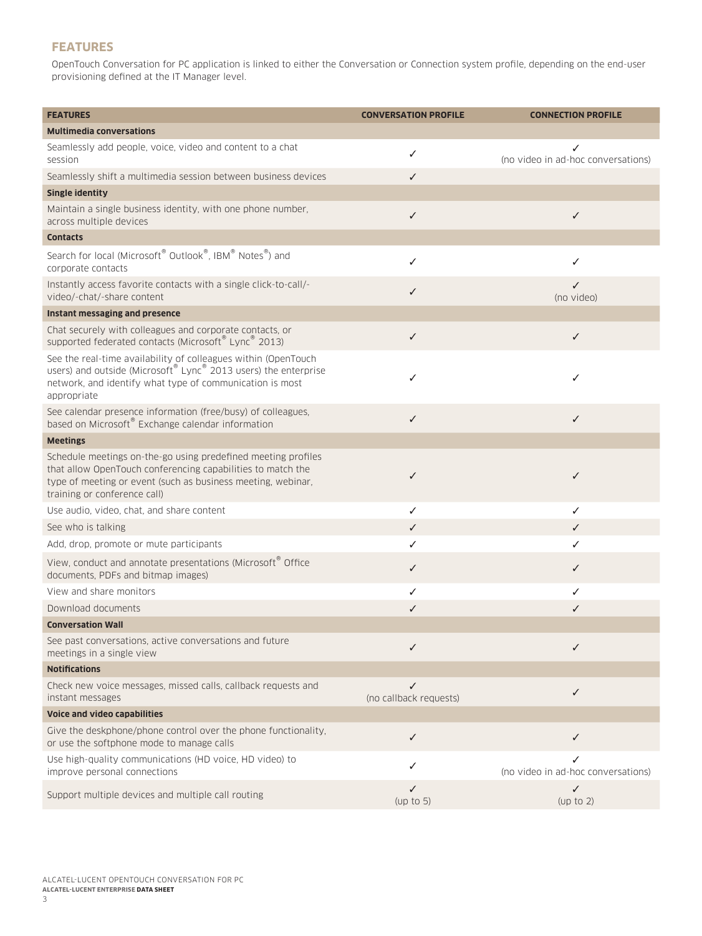# **FEATURES**

OpenTouch Conversation for PC application is linked to either the Conversation or Connection system profile, depending on the end-user provisioning defined at the IT Manager level.

| <b>FEATURES</b>                                                                                                                                                                                                              | <b>CONVERSATION PROFILE</b> | <b>CONNECTION PROFILE</b>               |
|------------------------------------------------------------------------------------------------------------------------------------------------------------------------------------------------------------------------------|-----------------------------|-----------------------------------------|
| <b>Multimedia conversations</b>                                                                                                                                                                                              |                             |                                         |
| Seamlessly add people, voice, video and content to a chat<br>session                                                                                                                                                         | $\checkmark$                | (no video in ad-hoc conversations)      |
| Seamlessly shift a multimedia session between business devices                                                                                                                                                               | $\checkmark$                |                                         |
| <b>Single identity</b>                                                                                                                                                                                                       |                             |                                         |
| Maintain a single business identity, with one phone number,<br>across multiple devices                                                                                                                                       | $\checkmark$                | ✓                                       |
| <b>Contacts</b>                                                                                                                                                                                                              |                             |                                         |
| Search for local (Microsoft® Outlook®, IBM® Notes®) and<br>corporate contacts                                                                                                                                                | ✓                           | ✓                                       |
| Instantly access favorite contacts with a single click-to-call/-<br>video/-chat/-share content                                                                                                                               | $\checkmark$                | ✓<br>(no video)                         |
| Instant messaging and presence                                                                                                                                                                                               |                             |                                         |
| Chat securely with colleagues and corporate contacts, or<br>supported federated contacts (Microsoft® Lync® 2013)                                                                                                             | $\checkmark$                | ✓                                       |
| See the real-time availability of colleagues within (OpenTouch<br>users) and outside (Microsoft® Lync® 2013 users) the enterprise<br>network, and identify what type of communication is most<br>appropriate                 | ✓                           | ✓                                       |
| See calendar presence information (free/busy) of colleagues,<br>based on Microsoft® Exchange calendar information                                                                                                            | $\checkmark$                | ✓                                       |
| <b>Meetings</b>                                                                                                                                                                                                              |                             |                                         |
| Schedule meetings on-the-go using predefined meeting profiles<br>that allow OpenTouch conferencing capabilities to match the<br>type of meeting or event (such as business meeting, webinar,<br>training or conference call) | $\checkmark$                | ✓                                       |
| Use audio, video, chat, and share content                                                                                                                                                                                    | ✓                           | ✓                                       |
| See who is talking                                                                                                                                                                                                           | ✓                           | ✓                                       |
| Add, drop, promote or mute participants                                                                                                                                                                                      | ✓                           | ✓                                       |
| View, conduct and annotate presentations (Microsoft® Office<br>documents, PDFs and bitmap images)                                                                                                                            | ✓                           | ✓                                       |
| View and share monitors                                                                                                                                                                                                      | $\checkmark$                | ✓                                       |
| Download documents                                                                                                                                                                                                           | ✓                           | ✓                                       |
| <b>Conversation Wall</b>                                                                                                                                                                                                     |                             |                                         |
| See past conversations, active conversations and future<br>meetings in a single view                                                                                                                                         | ✓                           | ✓                                       |
| <b>Notifications</b>                                                                                                                                                                                                         |                             |                                         |
| Check new voice messages, missed calls, callback requests and<br>instant messages                                                                                                                                            | ✓<br>(no callback requests) | ✓                                       |
| Voice and video capabilities                                                                                                                                                                                                 |                             |                                         |
| Give the deskphone/phone control over the phone functionality,<br>or use the softphone mode to manage calls                                                                                                                  | $\checkmark$                | ✓                                       |
| Use high-quality communications (HD voice, HD video) to<br>improve personal connections                                                                                                                                      | ✓                           | ✓<br>(no video in ad-hoc conversations) |
| Support multiple devices and multiple call routing                                                                                                                                                                           | $\checkmark$<br>(up to 5)   | ✓<br>(up to 2)                          |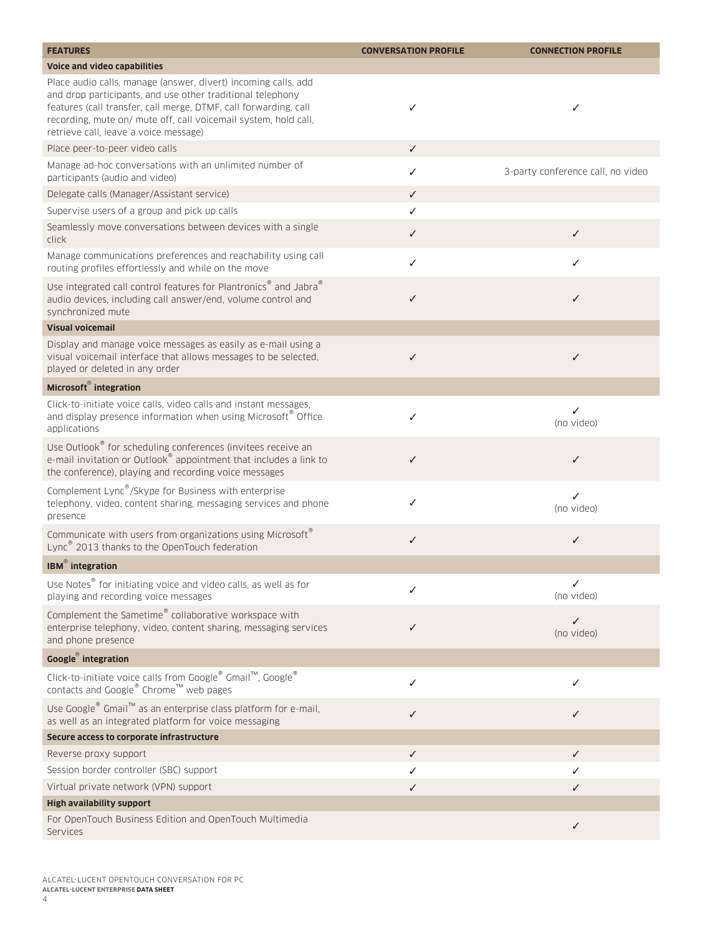| <b>FEATURES</b>                                                                                                                                                                                                                                                                                              | <b>CONVERSATION PROFILE</b> | <b>CONNECTION PROFILE</b>         |
|--------------------------------------------------------------------------------------------------------------------------------------------------------------------------------------------------------------------------------------------------------------------------------------------------------------|-----------------------------|-----------------------------------|
| Voice and video capabilities                                                                                                                                                                                                                                                                                 |                             |                                   |
| Place audio calls, manage (answer, divert) incoming calls, add<br>and drop participants, and use other traditional telephony<br>features (call transfer, call merge, DTMF, call forwarding, call<br>recording, mute on/ mute off, call voicemail system, hold call,<br>retrieve call, leave a voice message) | ✓                           | ✓                                 |
| Place peer-to-peer video calls                                                                                                                                                                                                                                                                               | ✓                           |                                   |
| Manage ad-hoc conversations with an unlimited number of<br>participants (audio and video)                                                                                                                                                                                                                    | ✓                           | 3-party conference call, no video |
| Delegate calls (Manager/Assistant service)                                                                                                                                                                                                                                                                   | ✓                           |                                   |
| Supervise users of a group and pick up calls                                                                                                                                                                                                                                                                 | ✓                           |                                   |
| Seamlessly move conversations between devices with a single<br>click                                                                                                                                                                                                                                         | ✓                           | ✓                                 |
| Manage communications preferences and reachability using call<br>routing profiles effortlessly and while on the move                                                                                                                                                                                         | ✓                           | ✓                                 |
| Use integrated call control features for Plantronics® and Jabra®<br>audio devices, including call answer/end, volume control and<br>synchronized mute                                                                                                                                                        | ✓                           | ✓                                 |
| <b>Visual voicemail</b>                                                                                                                                                                                                                                                                                      |                             |                                   |
| Display and manage voice messages as easily as e-mail using a<br>visual voicemail interface that allows messages to be selected,<br>played or deleted in any order                                                                                                                                           | $\checkmark$                | $\checkmark$                      |
| Microsoft® integration                                                                                                                                                                                                                                                                                       |                             |                                   |
| Click-to-initiate voice calls, video calls and instant messages,<br>and display presence information when using Microsoft® Office<br>applications                                                                                                                                                            | ✓                           | ✓<br>(no video)                   |
| Use Outlook® for scheduling conferences (invitees receive an<br>e-mail invitation or Outlook® appointment that includes a link to<br>the conference), playing and recording voice messages                                                                                                                   | ✓                           | ✓                                 |
| Complement Lync <sup>®</sup> /Skype for Business with enterprise<br>telephony, video, content sharing, messaging services and phone<br>presence                                                                                                                                                              | ✓                           | ✓<br>(no video)                   |
| Communicate with users from organizations using Microsoft®<br>Lync <sup>®</sup> 2013 thanks to the OpenTouch federation                                                                                                                                                                                      | ✓                           | ✓                                 |
| <b>IBM</b> <sup>®</sup> integration                                                                                                                                                                                                                                                                          |                             |                                   |
| Use Notes <sup>®</sup> for initiating voice and video calls, as well as for<br>playing and recording voice messages                                                                                                                                                                                          | ✓                           | ✓<br>(no video)                   |
| Complement the Sametime® collaborative workspace with<br>enterprise telephony, video, content sharing, messaging services<br>and phone presence                                                                                                                                                              | ✓                           | ✓<br>(no video)                   |
| Google <sup>®</sup> integration                                                                                                                                                                                                                                                                              |                             |                                   |
| Click-to-initiate voice calls from Google® Gmail™, Google®<br>contacts and Google® Chrome™ web pages                                                                                                                                                                                                         | ✓                           | ✓                                 |
| Use Google® Gmail™ as an enterprise class platform for e-mail,<br>as well as an integrated platform for voice messaging                                                                                                                                                                                      | ✓                           | ✓                                 |
| Secure access to corporate infrastructure                                                                                                                                                                                                                                                                    |                             |                                   |
| Reverse proxy support                                                                                                                                                                                                                                                                                        | $\checkmark$                | ✓                                 |
| Session border controller (SBC) support                                                                                                                                                                                                                                                                      | ✓                           | ✓                                 |
| Virtual private network (VPN) support                                                                                                                                                                                                                                                                        | ✓                           | ✓                                 |
| <b>High availability support</b>                                                                                                                                                                                                                                                                             |                             |                                   |
| For OpenTouch Business Edition and OpenTouch Multimedia<br>Services                                                                                                                                                                                                                                          |                             | $\checkmark$                      |